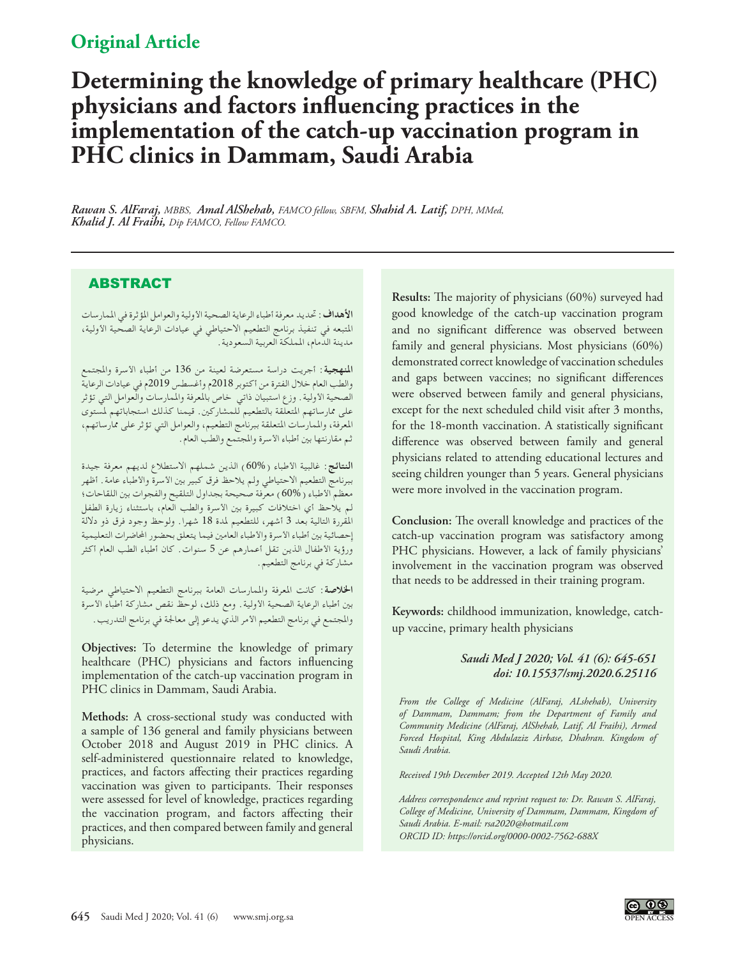# **Original Article**

# **Determining the knowledge of primary healthcare (PHC) physicians and factors influencing practices in the implementation of the catch-up vaccination program in PHC clinics in Dammam, Saudi Arabia**

*Rawan S. AlFaraj, MBBS, Amal AlShehab, FAMCO fellow, SBFM, Shahid A. Latif, DPH, MMed, Khalid J. Al Fraihi, Dip FAMCO, Fellow FAMCO.* 

## ABSTRACT

**األهداف:** حتديد معرفة أطباء الرعاية الصحية األولية والعوامل املؤثرة في املمارسات املتبعه في تنفيذ برنامج التطعيم االحتياطي في عيادات الرعاية الصحية األولية، مدينة الدمام، اململكة العربية السعودية.

**املنهجية:** أجريت دراسة مستعرضة لعينة من 136 من أطباء األسرة واملجتمع والطب العام خالل الفترة من أكتوبر 2018م وأغسطس 2019م في عيادات الرعاية الصحية األولية. وزع استبيان ذاتي خاص باملعرفة واملمارسات والعوامل التي تؤثر على ممارساتهم املتعلقة بالتطعيم للمشاركني. قيمنا كذلك استجاباتهم ملستوى املعرفة، واملمارسات املتعلقة ببرنامج التطعيم، والعوامل التي تؤثر على ممارساتهم، ثم مقارنتها بني أطباء األسرة واملجتمع والطب العام.

**النتائج:** غالبية األطباء )60%( الذين شملهم االستطالع لديهم معرفة جيدة ببرنامج التطعيم االحتياطي ولم يالحظ فرق كبير بني األسرة واألطباء عامة. أظهر معظم الأطباء ( 60% ) معرفة صحيحة بجداول التلقيح والفجوات بين اللقاحات؛ لم يالحظ أي اختالفات كبيرة بني األسرة والطب العام، باستثناء زيارة الطفل املقررة التالية بعد 3 أشهر، للتطعيم ملدة 18 شهرا. ولوحظ وجود فرق ذو داللة إحصائية بني أطباء األسرة واألطباء العامني فيما يتعلق بحضور احملاضرات التعليمية ورؤية األطفال الذين تقل أعمارهم عن 5 سنوات. كان أطباء الطب العام أكثر مشاركة في برنامج التطعيم.

**اخلالصة:** كانت املعرفة واملمارسات العامة ببرنامج التطعيم االحتياطي مرضية بني أطباء الرعاية الصحية األولية. ومع ذلك، لوحظ نقص مشاركة أطباء األسرة واملجتمع في برنامج التطعيم األمر الذي يدعو إلى معاجلة في برنامج التدريب.

**Objectives:** To determine the knowledge of primary healthcare (PHC) physicians and factors influencing implementation of the catch-up vaccination program in PHC clinics in Dammam, Saudi Arabia.

**Methods:** A cross-sectional study was conducted with a sample of 136 general and family physicians between October 2018 and August 2019 in PHC clinics. A self-administered questionnaire related to knowledge, practices, and factors affecting their practices regarding vaccination was given to participants. Their responses were assessed for level of knowledge, practices regarding the vaccination program, and factors affecting their practices, and then compared between family and general physicians.

**Results:** The majority of physicians (60%) surveyed had good knowledge of the catch-up vaccination program and no significant difference was observed between family and general physicians. Most physicians (60%) demonstrated correct knowledge of vaccination schedules and gaps between vaccines; no significant differences were observed between family and general physicians, except for the next scheduled child visit after 3 months, for the 18-month vaccination. A statistically significant difference was observed between family and general physicians related to attending educational lectures and seeing children younger than 5 years. General physicians were more involved in the vaccination program.

**Conclusion:** The overall knowledge and practices of the catch-up vaccination program was satisfactory among PHC physicians. However, a lack of family physicians' involvement in the vaccination program was observed that needs to be addressed in their training program.

**Keywords:** childhood immunization, knowledge, catchup vaccine, primary health physicians

#### *Saudi Med J 2020; Vol. 41 (6): 645-651 doi: 10.15537/smj.2020.6.25116*

*From the College of Medicine (AlFaraj, ALshehab), University of Dammam, Dammam; from the Department of Family and Community Medicine (AlFaraj, AlShehab, Latif, Al Fraihi), Armed Forced Hospital, King Abdulaziz Airbase, Dhahran. Kingdom of Saudi Arabia.* 

*Received 19th December 2019. Accepted 12th May 2020.*

*Address correspondence and reprint request to: Dr. Rawan S. AlFaraj, College of Medicine, University of Dammam, Dammam, Kingdom of Saudi Arabia. E-mail: rsa2020@hotmail.com ORCID ID: https://orcid.org/0000-0002-7562-688X*

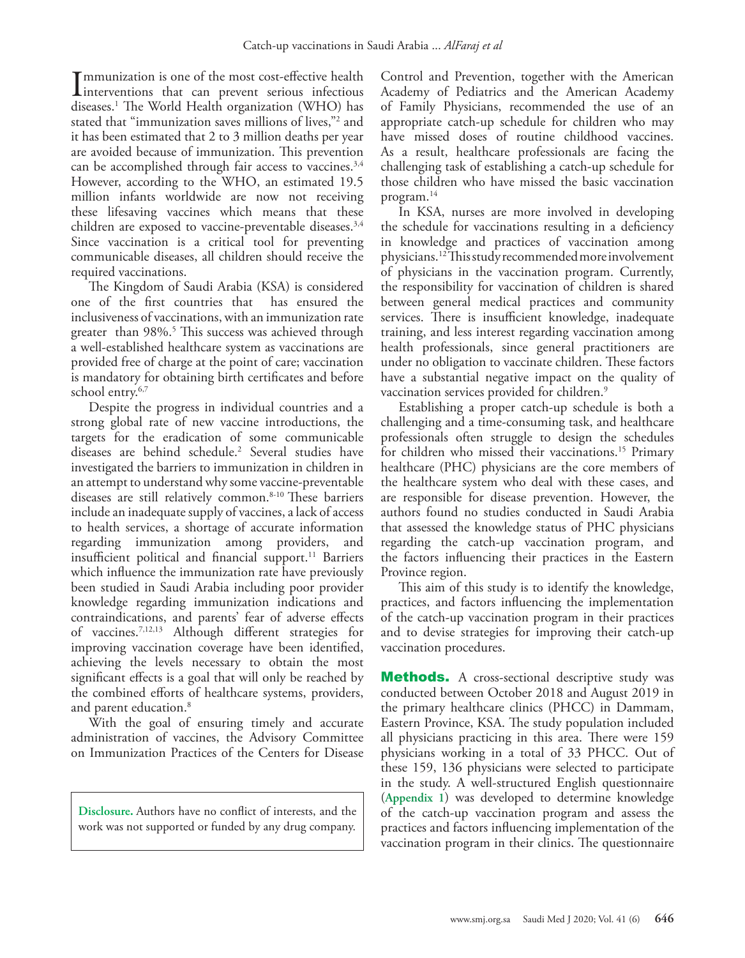Immunization is one of the most cost-effective health<br>interventions that can prevent serious infectious<br>diseases <sup>1</sup> The World Health organization (WHO) has **I** mmunization is one of the most cost-effective health diseases.[1](#page-6-0) The World Health organization (WHO) has stated that "immunization saves millions of lives,"[2](#page-6-1) and it has been estimated that 2 to 3 million deaths per year are avoided because of immunization. This prevention can be accomplished through fair access to vaccines.<sup>[3](#page-6-2)[,4](#page-6-3)</sup> However, according to the WHO, an estimated 19.5 million infants worldwide are now not receiving these lifesaving vaccines which means that these children are exposed to vaccine-preventable diseases.<sup>[3](#page-6-2)[,4](#page-6-3)</sup> Since vaccination is a critical tool for preventing communicable diseases, all children should receive the required vaccinations.

The Kingdom of Saudi Arabia (KSA) is considered one of the first countries that has ensured the inclusiveness of vaccinations, with an immunization rate greater than 98%.[5](#page-6-4) This success was achieved through a well-established healthcare system as vaccinations are provided free of charge at the point of care; vaccination is mandatory for obtaining birth certificates and before school entry.<sup>6,[7](#page-6-6)</sup>

Despite the progress in individual countries and a strong global rate of new vaccine introductions, the targets for the eradication of some communicable diseases are behind schedule.[2](#page-6-1) Several studies have investigated the barriers to immunization in children in an attempt to understand why some vaccine-preventable diseases are still relatively common.<sup>8-10</sup> These barriers include an inadequate supply of vaccines, a lack of access to health services, a shortage of accurate information regarding immunization among providers, and insufficient political and financial support.<sup>11</sup> Barriers which influence the immunization rate have previously been studied in Saudi Arabia including poor provider knowledge regarding immunization indications and contraindications, and parents' fear of adverse effects of vaccines.[7](#page-6-6),[12](#page-6-10),[13](#page-6-11) Although different strategies for improving vaccination coverage have been identified, achieving the levels necessary to obtain the most significant effects is a goal that will only be reached by the combined efforts of healthcare systems, providers, and parent education.<sup>[8](#page-6-7)</sup>

With the goal of ensuring timely and accurate administration of vaccines, the Advisory Committee on Immunization Practices of the Centers for Disease

**Disclosure.** Authors have no conflict of interests, and the work was not supported or funded by any drug company.

Control and Prevention, together with the American Academy of Pediatrics and the American Academy of Family Physicians, recommended the use of an appropriate catch-up schedule for children who may have missed doses of routine childhood vaccines. As a result, healthcare professionals are facing the challenging task of establishing a catch-up schedule for those children who have missed the basic vaccination program[.14](#page-6-12)

In KSA, nurses are more involved in developing the schedule for vaccinations resulting in a deficiency in knowledge and practices of vaccination among physicians.[12](#page-6-10) This study recommended more involvement of physicians in the vaccination program. Currently, the responsibility for vaccination of children is shared between general medical practices and community services. There is insufficient knowledge, inadequate training, and less interest regarding vaccination among health professionals, since general practitioners are under no obligation to vaccinate children. These factors have a substantial negative impact on the quality of vaccination services provided for children.<sup>[9](#page-6-13)</sup>

Establishing a proper catch-up schedule is both a challenging and a time-consuming task, and healthcare professionals often struggle to design the schedules for children who missed their vaccinations.[15](#page-6-14) Primary healthcare (PHC) physicians are the core members of the healthcare system who deal with these cases, and are responsible for disease prevention. However, the authors found no studies conducted in Saudi Arabia that assessed the knowledge status of PHC physicians regarding the catch-up vaccination program, and the factors influencing their practices in the Eastern Province region.

This aim of this study is to identify the knowledge, practices, and factors influencing the implementation of the catch-up vaccination program in their practices and to devise strategies for improving their catch-up vaccination procedures.

Methods. A cross-sectional descriptive study was conducted between October 2018 and August 2019 in the primary healthcare clinics (PHCC) in Dammam, Eastern Province, KSA. The study population included all physicians practicing in this area. There were 159 physicians working in a total of 33 PHCC. Out of these 159, 136 physicians were selected to participate in the study. A well-structured English questionnaire (**Appendix 1**) was developed to determine knowledge of the catch-up vaccination program and assess the practices and factors influencing implementation of the vaccination program in their clinics. The questionnaire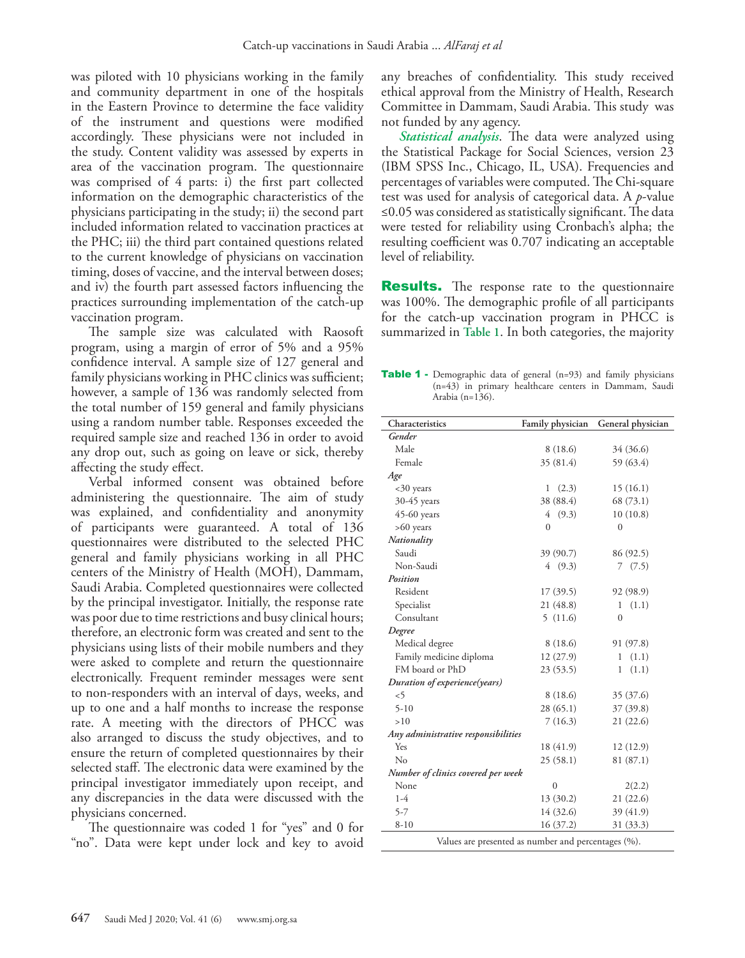was piloted with 10 physicians working in the family and community department in one of the hospitals in the Eastern Province to determine the face validity of the instrument and questions were modified accordingly. These physicians were not included in the study. Content validity was assessed by experts in area of the vaccination program. The questionnaire was comprised of 4 parts: i) the first part collected information on the demographic characteristics of the physicians participating in the study; ii) the second part included information related to vaccination practices at the PHC; iii) the third part contained questions related to the current knowledge of physicians on vaccination timing, doses of vaccine, and the interval between doses; and iv) the fourth part assessed factors influencing the practices surrounding implementation of the catch-up vaccination program.

The sample size was calculated with Raosoft program, using a margin of error of 5% and a 95% confidence interval. A sample size of 127 general and family physicians working in PHC clinics was sufficient; however, a sample of 136 was randomly selected from the total number of 159 general and family physicians using a random number table. Responses exceeded the required sample size and reached 136 in order to avoid any drop out, such as going on leave or sick, thereby affecting the study effect.

Verbal informed consent was obtained before administering the questionnaire. The aim of study was explained, and confidentiality and anonymity of participants were guaranteed. A total of 136 questionnaires were distributed to the selected PHC general and family physicians working in all PHC centers of the Ministry of Health (MOH), Dammam, Saudi Arabia. Completed questionnaires were collected by the principal investigator. Initially, the response rate was poor due to time restrictions and busy clinical hours; therefore, an electronic form was created and sent to the physicians using lists of their mobile numbers and they were asked to complete and return the questionnaire electronically. Frequent reminder messages were sent to non-responders with an interval of days, weeks, and up to one and a half months to increase the response rate. A meeting with the directors of PHCC was also arranged to discuss the study objectives, and to ensure the return of completed questionnaires by their selected staff. The electronic data were examined by the principal investigator immediately upon receipt, and any discrepancies in the data were discussed with the physicians concerned.

The questionnaire was coded 1 for "yes" and 0 for "no". Data were kept under lock and key to avoid

any breaches of confidentiality. This study received ethical approval from the Ministry of Health, Research Committee in Dammam, Saudi Arabia. This study was not funded by any agency.

*Statistical analysis*. The data were analyzed using the Statistical Package for Social Sciences, version 23 (IBM SPSS Inc., Chicago, IL, USA). Frequencies and percentages of variables were computed. The Chi-square test was used for analysis of categorical data. A *p*-value ≤0.05 was considered as statistically significant. The data were tested for reliability using Cronbach's alpha; the resulting coefficient was 0.707 indicating an acceptable level of reliability.

**Results.** The response rate to the questionnaire was 100%. The demographic profile of all participants for the catch-up vaccination program in PHCC is summarized in **Table 1**. In both categories, the majority

Table 1 - Demographic data of general (n=93) and family physicians (n=43) in primary healthcare centers in Dammam, Saudi Arabia (n=136).

| Characteristics                                     | Family physician | General physician |  |
|-----------------------------------------------------|------------------|-------------------|--|
| Gender                                              |                  |                   |  |
| Male                                                | 8(18.6)          | 34 (36.6)         |  |
| Female                                              | 35 (81.4)        | 59 (63.4)         |  |
| Age                                                 |                  |                   |  |
| <30 years                                           | 1<br>(2.3)       | 15(16.1)          |  |
| 30-45 years                                         | 38 (88.4)        | 68 (73.1)         |  |
| $45-60$ years                                       | (9.3)<br>4       | 10(10.8)          |  |
| $>60$ years                                         | $\theta$         | 0                 |  |
| Nationality                                         |                  |                   |  |
| Saudi                                               | 39 (90.7)        | 86 (92.5)         |  |
| Non-Saudi                                           | (9.3)<br>4       | (7.5)<br>7        |  |
| Position                                            |                  |                   |  |
| Resident                                            | 17(39.5)         | 92 (98.9)         |  |
| Specialist                                          | 21(48.8)         | (1.1)<br>1        |  |
| Consultant                                          | 5(11.6)          | $\overline{0}$    |  |
| Degree                                              |                  |                   |  |
| Medical degree                                      | 8(18.6)          | 91 (97.8)         |  |
| Family medicine diploma                             | 12(27.9)         | 1<br>(1.1)        |  |
| FM board or PhD                                     | 23(53.5)         | 1<br>(1.1)        |  |
| Duration of experience(years)                       |                  |                   |  |
| &5                                                  | 8 (18.6)         | 35 (37.6)         |  |
| $5-10$                                              | 28(65.1)         | 37 (39.8)         |  |
| >10                                                 | 7(16.3)          | 21(22.6)          |  |
| Any administrative responsibilities                 |                  |                   |  |
| Yes                                                 | 18 (41.9)        | 12(12.9)          |  |
| No                                                  | 25(58.1)         | 81 (87.1)         |  |
| Number of clinics covered per week                  |                  |                   |  |
| None                                                | $\overline{0}$   | 2(2.2)            |  |
| $1-4$                                               | 13 (30.2)        | 21(22.6)          |  |
| $5 - 7$                                             | 14 (32.6)        | 39 (41.9)         |  |
| $8 - 10$                                            | 16 (37.2)        | 31 (33.3)         |  |
| Values are presented as number and percentages (%). |                  |                   |  |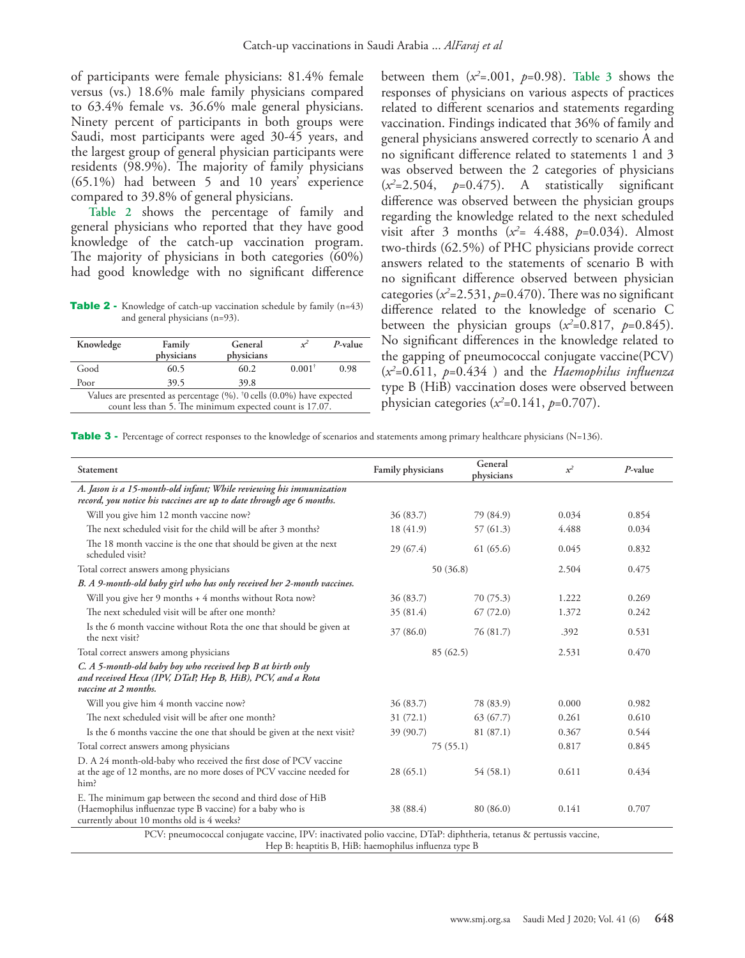of participants were female physicians: 81.4% female versus (vs.) 18.6% male family physicians compared to 63.4% female vs. 36.6% male general physicians. Ninety percent of participants in both groups were Saudi, most participants were aged 30-45 years, and the largest group of general physician participants were residents (98.9%). The majority of family physicians (65.1%) had between 5 and 10 years' experience compared to 39.8% of general physicians.

**Table 2** shows the percentage of family and general physicians who reported that they have good knowledge of the catch-up vaccination program. The majority of physicians in both categories (60%) had good knowledge with no significant difference

**Table 2** - Knowledge of catch-up vaccination schedule by family (n=43) and general physicians (n=93).

| Knowledge | Family<br>physicians                                                                                                                                 | General<br>physicians |           | $P$ -value |
|-----------|------------------------------------------------------------------------------------------------------------------------------------------------------|-----------------------|-----------|------------|
| Good      | 60.5                                                                                                                                                 | 60.2                  | $0.001^+$ | 0.98       |
| Poor      | 39.5                                                                                                                                                 | 39.8                  |           |            |
|           | Values are presented as percentage $(\% )$ . <sup>†</sup> 0 cells $(0.0\%)$ have expected<br>count less than 5. The minimum expected count is 17.07. |                       |           |            |

between them  $(x^2=0.001, p=0.98)$ . Table 3 shows the responses of physicians on various aspects of practices related to different scenarios and statements regarding vaccination. Findings indicated that 36% of family and general physicians answered correctly to scenario A and no significant difference related to statements 1 and 3 was observed between the 2 categories of physicians (*x2* =2.504, *p*=0.475). A statistically significant difference was observed between the physician groups regarding the knowledge related to the next scheduled visit after 3 months  $(x^2 = 4.488, p=0.034)$ . Almost two-thirds (62.5%) of PHC physicians provide correct answers related to the statements of scenario B with no significant difference observed between physician categories ( $x^2$ =2.531,  $p$ =0.470). There was no significant difference related to the knowledge of scenario C between the physician groups  $(x^2=0.817, p=0.845)$ . No significant differences in the knowledge related to the gapping of pneumococcal conjugate vaccine(PCV) (*x2* =0.611, *p*=0.434 ) and the *Haemophilus influenza* type B (HiB) vaccination doses were observed between physician categories (*x2* =0.141, *p*=0.707).

Table 3 - Percentage of correct responses to the knowledge of scenarios and statements among primary healthcare physicians (N=136).

| Statement                                                                                                                                                             | Family physicians | General<br>physicians | $x^2$ | $P$ -value |
|-----------------------------------------------------------------------------------------------------------------------------------------------------------------------|-------------------|-----------------------|-------|------------|
| A. Jason is a 15-month-old infant; While reviewing his immunization<br>record, you notice his vaccines are up to date through age 6 months.                           |                   |                       |       |            |
| Will you give him 12 month vaccine now?                                                                                                                               | 36 (83.7)         | 79 (84.9)             | 0.034 | 0.854      |
| The next scheduled visit for the child will be after 3 months?                                                                                                        | 18(41.9)          | 57(61.3)              | 4.488 | 0.034      |
| The 18 month vaccine is the one that should be given at the next<br>scheduled visit?                                                                                  | 29(67.4)          | 61 (65.6)             | 0.045 | 0.832      |
| Total correct answers among physicians                                                                                                                                | 50 (36.8)         |                       | 2.504 | 0.475      |
| B. A 9-month-old baby girl who has only received her 2-month vaccines.                                                                                                |                   |                       |       |            |
| Will you give her 9 months + 4 months without Rota now?                                                                                                               | 36 (83.7)         | 70 (75.3)             | 1.222 | 0.269      |
| The next scheduled visit will be after one month?                                                                                                                     | 35(81.4)          | 67(72.0)              | 1.372 | 0.242      |
| Is the 6 month vaccine without Rota the one that should be given at<br>the next visit?                                                                                | 37 (86.0)         | 76 (81.7)             | .392  | 0.531      |
| Total correct answers among physicians                                                                                                                                | 85(62.5)          |                       | 2.531 | 0.470      |
| C. A 5-month-old baby boy who received hep B at birth only<br>and received Hexa (IPV, DTaP, Hep B, HiB), PCV, and a Rota<br>vaccine at 2 months.                      |                   |                       |       |            |
| Will you give him 4 month vaccine now?                                                                                                                                | 36 (83.7)         | 78 (83.9)             | 0.000 | 0.982      |
| The next scheduled visit will be after one month?                                                                                                                     | 31(72.1)          | 63(67.7)              | 0.261 | 0.610      |
| Is the 6 months vaccine the one that should be given at the next visit?                                                                                               | 39 (90.7)         | 81 (87.1)             | 0.367 | 0.544      |
| Total correct answers among physicians                                                                                                                                | 75(55.1)          |                       | 0.817 | 0.845      |
| D. A 24 month-old-baby who received the first dose of PCV vaccine<br>at the age of 12 months, are no more doses of PCV vaccine needed for<br>him?                     | 28(65.1)          | 54(58.1)              | 0.611 | 0.434      |
| E. The minimum gap between the second and third dose of HiB<br>(Haemophilus influenzae type B vaccine) for a baby who is<br>currently about 10 months old is 4 weeks? | 38 (88.4)         | 80 (86.0)             | 0.141 | 0.707      |

Hep B: heaptitis B, HiB: haemophilus influenza type B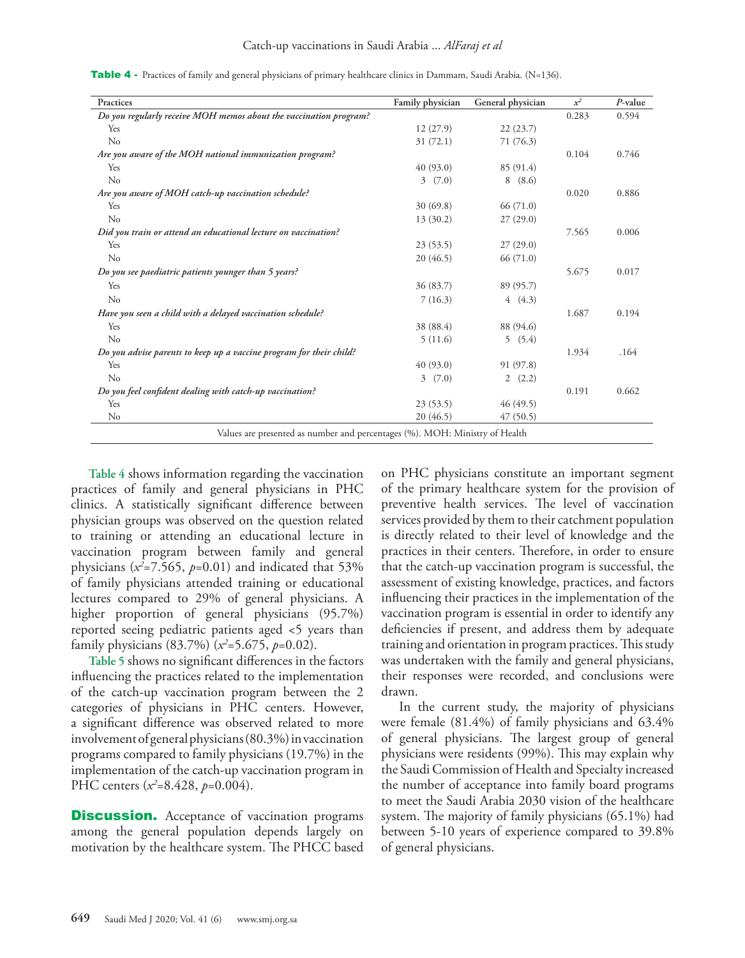**Practices Family physician General physician** *x2**P***-value** *Do you regularly receive MOH memos about the vaccination program?* 0.283 0.594  $\text{Yes}$  12 (27.9) 22 (23.7) No  $31 (72.1)$  71 (76.3) *Are you aware of the MOH national immunization program?* 0.104 0.746  $Y_{\text{es}}$  and  $Y_{\text{es}}$  and  $Y_{\text{es}}$  and  $Y_{\text{es}}$  and  $Y_{\text{es}}$  and  $Y_{\text{es}}$  (91.4) No  $3 \quad (7.0)$  8 (8.6) *Are you aware of MOH catch-up vaccination schedule?* 0.020 0.886  $Y_{\text{es}}$  30 (69.8) 66 (71.0) No  $13 (30.2)$   $27 (29.0)$ *Did you train or attend an educational lecture on vaccination?* 7.565 0.006  $Y_{\text{es}}$  23 (53.5) 27 (29.0) No  $20\ (46.5)$  66 (71.0) *Do you see paediatric patients younger than 5 years?* 5.675 0.017  $Y_{\text{es}}$  36 (83.7) 89 (95.7) No  $7(16.3)$  4 (4.3) *Have you seen a child with a delayed vaccination schedule?* 1.687 0.194<br>
Yes 38 (88.4) 1.687 0.194  $Y_{\text{es}}$  38 (88.4) 88 (94.6) No  $5(11.6)$  5 (5.4) *Do you advise parents to keep up a vaccine program for their child?* 1.934 .164  $Y_{\text{es}}$  40 (93.0) 91 (97.8) No  $3 \quad (7.0)$   $2 \quad (2.2)$ *Do you feel confident dealing with catch-up vaccination?* 0.191 0.662  $\frac{23}{53.5}$  46 (49.5) No  $20(46.5)$   $47(50.5)$ Values are presented as number and percentages (%). MOH: Ministry of Health

Table 4 - Practices of family and general physicians of primary healthcare clinics in Dammam, Saudi Arabia. (N=136).

**Table 4** shows information regarding the vaccination practices of family and general physicians in PHC clinics. A statistically significant difference between physician groups was observed on the question related to training or attending an educational lecture in vaccination program between family and general physicians (*x2* =7.565, *p*=0.01) and indicated that 53% of family physicians attended training or educational lectures compared to 29% of general physicians. A higher proportion of general physicians (95.7%) reported seeing pediatric patients aged <5 years than family physicians (83.7%) (*x2* =5.675, *p*=0.02).

**Table 5** shows no significant differences in the factors influencing the practices related to the implementation of the catch-up vaccination program between the 2 categories of physicians in PHC centers. However, a significant difference was observed related to more involvement of general physicians (80.3%) in vaccination programs compared to family physicians (19.7%) in the implementation of the catch-up vaccination program in PHC centers (*x2* =8.428, *p*=0.004).

**Discussion.** Acceptance of vaccination programs among the general population depends largely on motivation by the healthcare system. The PHCC based on PHC physicians constitute an important segment of the primary healthcare system for the provision of preventive health services. The level of vaccination services provided by them to their catchment population is directly related to their level of knowledge and the practices in their centers. Therefore, in order to ensure that the catch-up vaccination program is successful, the assessment of existing knowledge, practices, and factors influencing their practices in the implementation of the vaccination program is essential in order to identify any deficiencies if present, and address them by adequate training and orientation in program practices. This study was undertaken with the family and general physicians, their responses were recorded, and conclusions were drawn.

In the current study, the majority of physicians were female (81.4%) of family physicians and 63.4% of general physicians. The largest group of general physicians were residents (99%). This may explain why the Saudi Commission of Health and Specialty increased the number of acceptance into family board programs to meet the Saudi Arabia 2030 vision of the healthcare system. The majority of family physicians (65.1%) had between 5-10 years of experience compared to 39.8% of general physicians.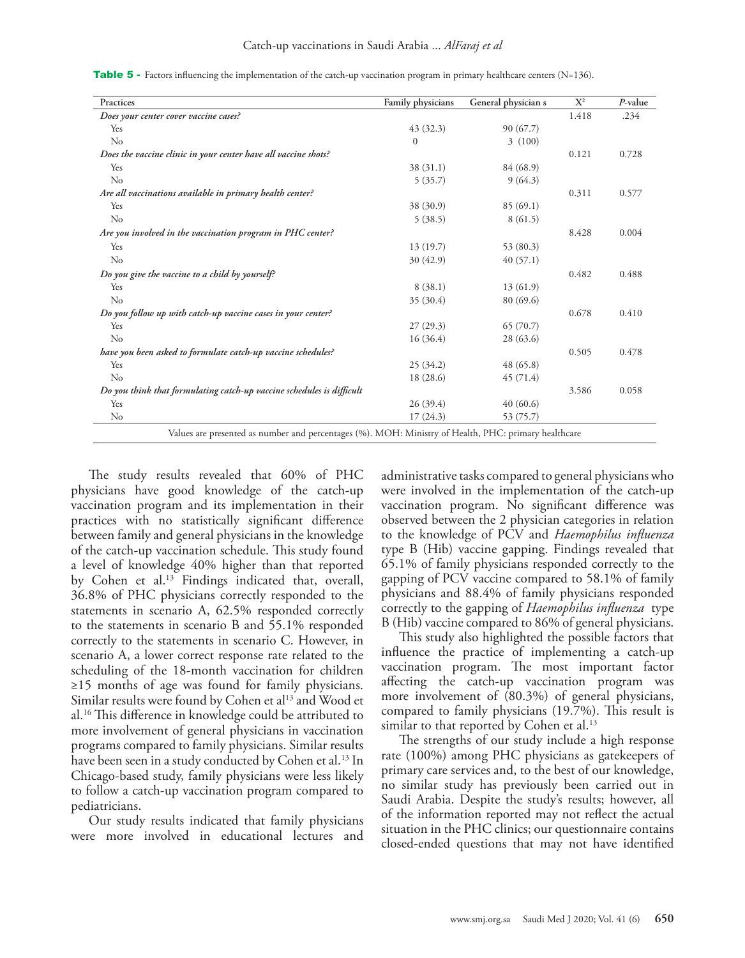**Practices** Family physicians General physician s  $X^2$ *P***-value** *Does your center cover vaccine cases?* 1.418 .234  $Y_{\text{es}}$  90 (67.7) No  $\begin{array}{ccccccc} 0 & 3 & (100) & & & \end{array}$ *Does the vaccine clinic in your center have all vaccine shots?* 0.121 0.728  $\frac{38 (31.1)}{84 (68.9)}$ No  $5(35.7)$  9 (64.3) *Are all vaccinations available in primary health center?* 0.311 0.577  $Y_{\text{es}}$  38 (30.9) 85 (69.1) No  $5(38.5)$   $8(61.5)$ *Are you involved in the vaccination program in PHC center?* 8.428 0.004  $Y$ es 13 (19.7) 53 (80.3) No  $30 (42.9)$   $40 (57.1)$ *Do you give the vaccine to a child by yourself?*  $0.488$  0.488  $Y$ es 8 (38.1) 13 (61.9) No  $35(30.4)$  80 (69.6) *Do you follow up with catch-up vaccine cases in your center?* 0.678 0.410  $Y_{\text{es}}$  65 (70.7) 65 (70.7) No  $16 (36.4)$   $28 (63.6)$ *have you been asked to formulate catch-up vaccine schedules?* 0.505 0.478<br>
Yes 25 (34.2) 48 (65.8)  $\frac{1}{8}$  Yes  $\frac{48}{65.8}$ No  $18 (28.6)$   $45 (71.4)$ *Do you think that formulating catch-up vaccine schedules is difficult* 3.586 0.058  $\frac{26 (39.4)}{40 (60.6)}$ No  $17 (24.3)$  53 (75.7) Values are presented as number and percentages (%). MOH: Ministry of Health, PHC: primary healthcare

**Table 5** - Factors influencing the implementation of the catch-up vaccination program in primary healthcare centers (N=136).

The study results revealed that 60% of PHC physicians have good knowledge of the catch-up vaccination program and its implementation in their practices with no statistically significant difference between family and general physicians in the knowledge of the catch-up vaccination schedule. This study found a level of knowledge 40% higher than that reported by Cohen et al.[13](#page-6-11) Findings indicated that, overall, 36.8% of PHC physicians correctly responded to the statements in scenario A, 62.5% responded correctly to the statements in scenario B and 55.1% responded correctly to the statements in scenario C. However, in scenario A, a lower correct response rate related to the scheduling of the 18-month vaccination for children ≥15 months of age was found for family physicians. Similar results were found by Cohen et al<sup>13</sup> and Wood et al.[16](#page-6-15) This difference in knowledge could be attributed to more involvement of general physicians in vaccination programs compared to family physicians. Similar results have been seen in a study conducted by Cohen et al.<sup>[13](#page-6-11)</sup> In Chicago-based study, family physicians were less likely to follow a catch-up vaccination program compared to pediatricians.

Our study results indicated that family physicians were more involved in educational lectures and

administrative tasks compared to general physicians who were involved in the implementation of the catch-up vaccination program. No significant difference was observed between the 2 physician categories in relation to the knowledge of PCV and *Haemophilus influenza* type B (Hib) vaccine gapping. Findings revealed that 65.1% of family physicians responded correctly to the gapping of PCV vaccine compared to 58.1% of family physicians and 88.4% of family physicians responded correctly to the gapping of *Haemophilus influenza* type B (Hib) vaccine compared to 86% of general physicians.

This study also highlighted the possible factors that influence the practice of implementing a catch-up vaccination program. The most important factor affecting the catch-up vaccination program was more involvement of (80.3%) of general physicians, compared to family physicians (19.7%). This result is similar to that reported by Cohen et al.<sup>[13](#page-6-11)</sup>

The strengths of our study include a high response rate (100%) among PHC physicians as gatekeepers of primary care services and, to the best of our knowledge, no similar study has previously been carried out in Saudi Arabia. Despite the study's results; however, all of the information reported may not reflect the actual situation in the PHC clinics; our questionnaire contains closed-ended questions that may not have identified